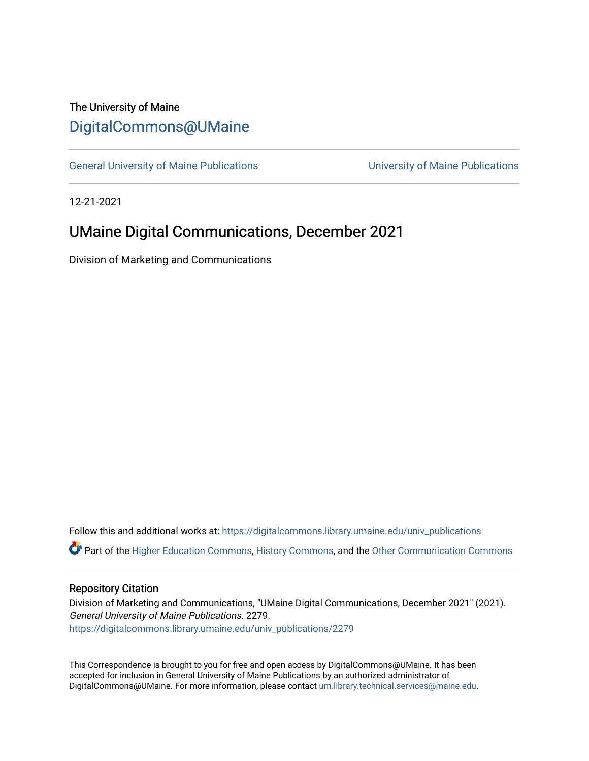## The University of Maine [DigitalCommons@UMaine](https://digitalcommons.library.umaine.edu/)

[General University of Maine Publications](https://digitalcommons.library.umaine.edu/univ_publications) [University of Maine Publications](https://digitalcommons.library.umaine.edu/umaine_publications) 

12-21-2021

# UMaine Digital Communications, December 2021

Division of Marketing and Communications

Follow this and additional works at: [https://digitalcommons.library.umaine.edu/univ\\_publications](https://digitalcommons.library.umaine.edu/univ_publications?utm_source=digitalcommons.library.umaine.edu%2Funiv_publications%2F2279&utm_medium=PDF&utm_campaign=PDFCoverPages)  Part of the [Higher Education Commons,](http://network.bepress.com/hgg/discipline/1245?utm_source=digitalcommons.library.umaine.edu%2Funiv_publications%2F2279&utm_medium=PDF&utm_campaign=PDFCoverPages) [History Commons,](http://network.bepress.com/hgg/discipline/489?utm_source=digitalcommons.library.umaine.edu%2Funiv_publications%2F2279&utm_medium=PDF&utm_campaign=PDFCoverPages) and the [Other Communication Commons](http://network.bepress.com/hgg/discipline/339?utm_source=digitalcommons.library.umaine.edu%2Funiv_publications%2F2279&utm_medium=PDF&utm_campaign=PDFCoverPages)

#### Repository Citation

Division of Marketing and Communications, "UMaine Digital Communications, December 2021" (2021). General University of Maine Publications. 2279. [https://digitalcommons.library.umaine.edu/univ\\_publications/2279](https://digitalcommons.library.umaine.edu/univ_publications/2279?utm_source=digitalcommons.library.umaine.edu%2Funiv_publications%2F2279&utm_medium=PDF&utm_campaign=PDFCoverPages)

This Correspondence is brought to you for free and open access by DigitalCommons@UMaine. It has been accepted for inclusion in General University of Maine Publications by an authorized administrator of DigitalCommons@UMaine. For more information, please contact [um.library.technical.services@maine.edu](mailto:um.library.technical.services@maine.edu).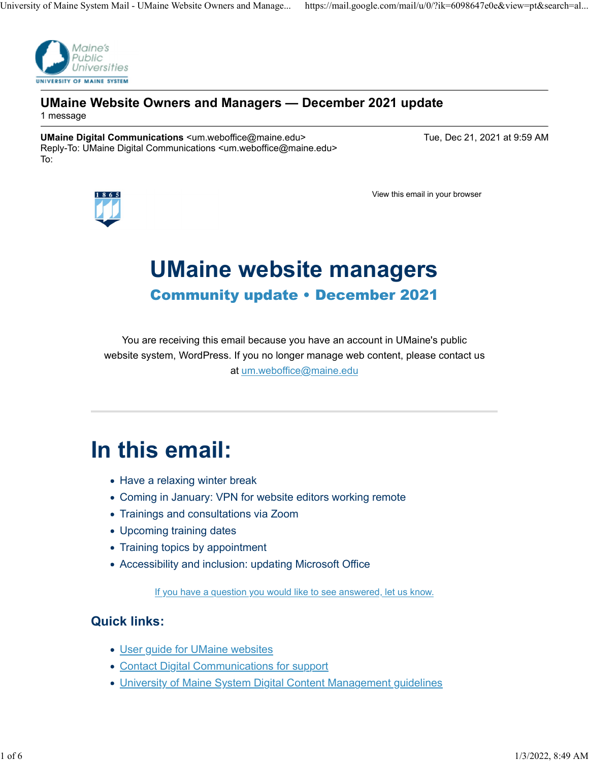

### UMaine Website Owners and Managers — December 2021 update 1 message

UMaine Digital Communications <um.weboffice@maine.edu> Tue, Dec 21, 2021 at 9:59 AM Reply-To: UMaine Digital Communications <um.weboffice@maine.edu> To:



View this email in your browser

# UMaine website managers Community update • December 2021

You are receiving this email because you have an account in UMaine's public website system, WordPress. If you no longer manage web content, please contact us at um.weboffice@maine.edu

# In this email:

- Have a relaxing winter break
- Coming in January: VPN for website editors working remote
- Trainings and consultations via Zoom
- Upcoming training dates
- Training topics by appointment
- Accessibility and inclusion: updating Microsoft Office

If you have a question you would like to see answered, let us know.

## Quick links:

- User guide for UMaine websites
- Contact Digital Communications for support
- University of Maine System Digital Content Management guidelines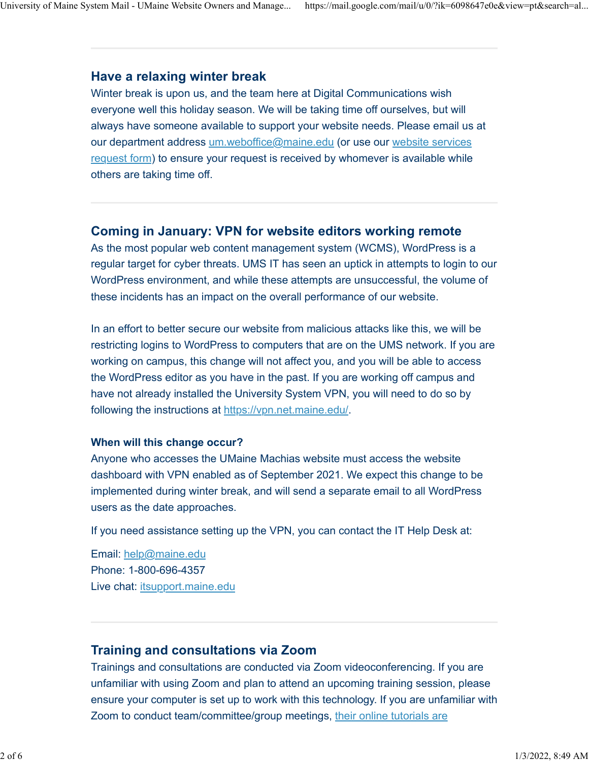## Have a relaxing winter break

Winter break is upon us, and the team here at Digital Communications wish everyone well this holiday season. We will be taking time off ourselves, but will always have someone available to support your website needs. Please email us at our department address um.weboffice@maine.edu (or use our website services request form) to ensure your request is received by whomever is available while others are taking time off.

## Coming in January: VPN for website editors working remote

As the most popular web content management system (WCMS), WordPress is a regular target for cyber threats. UMS IT has seen an uptick in attempts to login to our WordPress environment, and while these attempts are unsuccessful, the volume of these incidents has an impact on the overall performance of our website.

In an effort to better secure our website from malicious attacks like this, we will be restricting logins to WordPress to computers that are on the UMS network. If you are working on campus, this change will not affect you, and you will be able to access the WordPress editor as you have in the past. If you are working off campus and have not already installed the University System VPN, you will need to do so by following the instructions at https://vpn.net.maine.edu/.

## When will this change occur?

Anyone who accesses the UMaine Machias website must access the website dashboard with VPN enabled as of September 2021. We expect this change to be implemented during winter break, and will send a separate email to all WordPress users as the date approaches.

If you need assistance setting up the VPN, you can contact the IT Help Desk at:

Email: help@maine.edu Phone: 1-800-696-4357 Live chat: itsupport.maine.edu

## Training and consultations via Zoom

Trainings and consultations are conducted via Zoom videoconferencing. If you are unfamiliar with using Zoom and plan to attend an upcoming training session, please ensure your computer is set up to work with this technology. If you are unfamiliar with Zoom to conduct team/committee/group meetings, their online tutorials are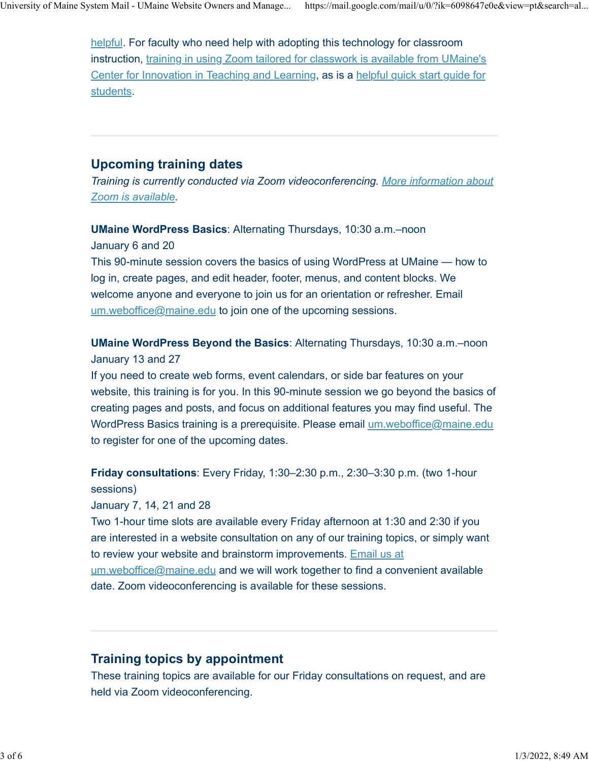helpful. For faculty who need help with adopting this technology for classroom instruction, training in using Zoom tailored for classwork is available from UMaine's Center for Innovation in Teaching and Learning, as is a helpful quick start guide for students.

## Upcoming training dates

Training is currently conducted via Zoom videoconferencing. More information about Zoom is available.

UMaine WordPress Basics: Alternating Thursdays, 10:30 a.m.–noon January 6 and 20

This 90-minute session covers the basics of using WordPress at UMaine — how to log in, create pages, and edit header, footer, menus, and content blocks. We welcome anyone and everyone to join us for an orientation or refresher. Email um.weboffice@maine.edu to join one of the upcoming sessions.

UMaine WordPress Beyond the Basics: Alternating Thursdays, 10:30 a.m.–noon January 13 and 27

If you need to create web forms, event calendars, or side bar features on your website, this training is for you. In this 90-minute session we go beyond the basics of creating pages and posts, and focus on additional features you may find useful. The WordPress Basics training is a prerequisite. Please email um.weboffice@maine.edu to register for one of the upcoming dates.

Friday consultations: Every Friday, 1:30–2:30 p.m., 2:30–3:30 p.m. (two 1-hour sessions)

January 7, 14, 21 and 28

Two 1-hour time slots are available every Friday afternoon at 1:30 and 2:30 if you are interested in a website consultation on any of our training topics, or simply want to review your website and brainstorm improvements. Email us at um.weboffice@maine.edu and we will work together to find a convenient available date. Zoom videoconferencing is available for these sessions.

## Training topics by appointment

These training topics are available for our Friday consultations on request, and are held via Zoom videoconferencing.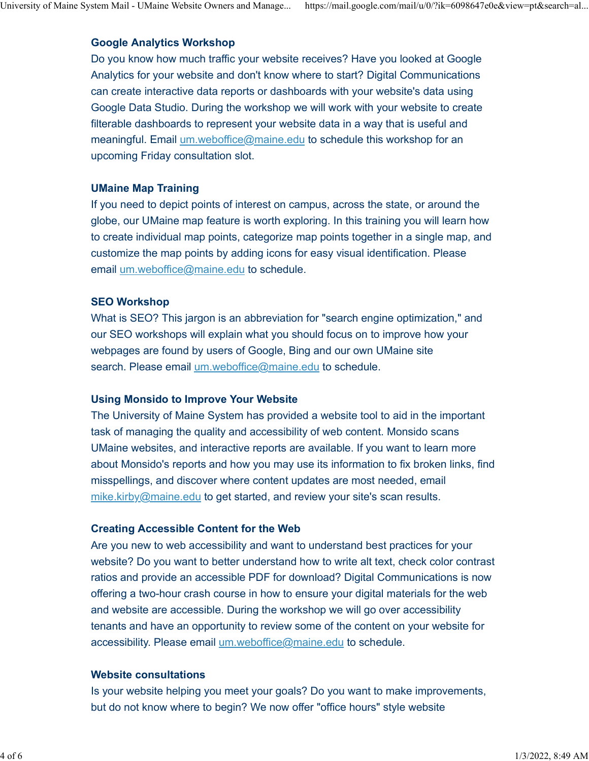### Google Analytics Workshop

Do you know how much traffic your website receives? Have you looked at Google Analytics for your website and don't know where to start? Digital Communications can create interactive data reports or dashboards with your website's data using Google Data Studio. During the workshop we will work with your website to create filterable dashboards to represent your website data in a way that is useful and meaningful. Email um.weboffice@maine.edu to schedule this workshop for an upcoming Friday consultation slot.

#### UMaine Map Training

If you need to depict points of interest on campus, across the state, or around the globe, our UMaine map feature is worth exploring. In this training you will learn how to create individual map points, categorize map points together in a single map, and customize the map points by adding icons for easy visual identification. Please email um.weboffice@maine.edu to schedule.

#### SEO Workshop

What is SEO? This jargon is an abbreviation for "search engine optimization," and our SEO workshops will explain what you should focus on to improve how your webpages are found by users of Google, Bing and our own UMaine site search. Please email um.weboffice@maine.edu to schedule.

#### Using Monsido to Improve Your Website

The University of Maine System has provided a website tool to aid in the important task of managing the quality and accessibility of web content. Monsido scans UMaine websites, and interactive reports are available. If you want to learn more about Monsido's reports and how you may use its information to fix broken links, find misspellings, and discover where content updates are most needed, email mike.kirby@maine.edu to get started, and review your site's scan results.

#### Creating Accessible Content for the Web

Are you new to web accessibility and want to understand best practices for your website? Do you want to better understand how to write alt text, check color contrast ratios and provide an accessible PDF for download? Digital Communications is now offering a two-hour crash course in how to ensure your digital materials for the web and website are accessible. During the workshop we will go over accessibility tenants and have an opportunity to review some of the content on your website for accessibility. Please email um.weboffice@maine.edu to schedule.

#### Website consultations

Is your website helping you meet your goals? Do you want to make improvements, but do not know where to begin? We now offer "office hours" style website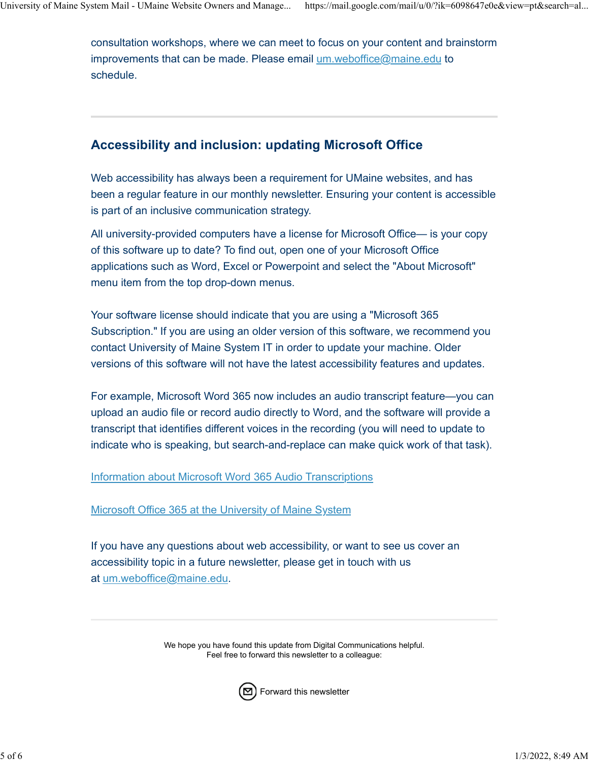consultation workshops, where we can meet to focus on your content and brainstorm improvements that can be made. Please email um.weboffice@maine.edu to schedule.

## Accessibility and inclusion: updating Microsoft Office

Web accessibility has always been a requirement for UMaine websites, and has been a regular feature in our monthly newsletter. Ensuring your content is accessible is part of an inclusive communication strategy.

All university-provided computers have a license for Microsoft Office— is your copy of this software up to date? To find out, open one of your Microsoft Office applications such as Word, Excel or Powerpoint and select the "About Microsoft" menu item from the top drop-down menus.

Your software license should indicate that you are using a "Microsoft 365 Subscription." If you are using an older version of this software, we recommend you contact University of Maine System IT in order to update your machine. Older versions of this software will not have the latest accessibility features and updates.

For example, Microsoft Word 365 now includes an audio transcript feature—you can upload an audio file or record audio directly to Word, and the software will provide a transcript that identifies different voices in the recording (you will need to update to indicate who is speaking, but search-and-replace can make quick work of that task).

Information about Microsoft Word 365 Audio Transcriptions

Microsoft Office 365 at the University of Maine System

If you have any questions about web accessibility, or want to see us cover an accessibility topic in a future newsletter, please get in touch with us at um.weboffice@maine.edu.

> We hope you have found this update from Digital Communications helpful. Feel free to forward this newsletter to a colleague:



Forward this newsletter